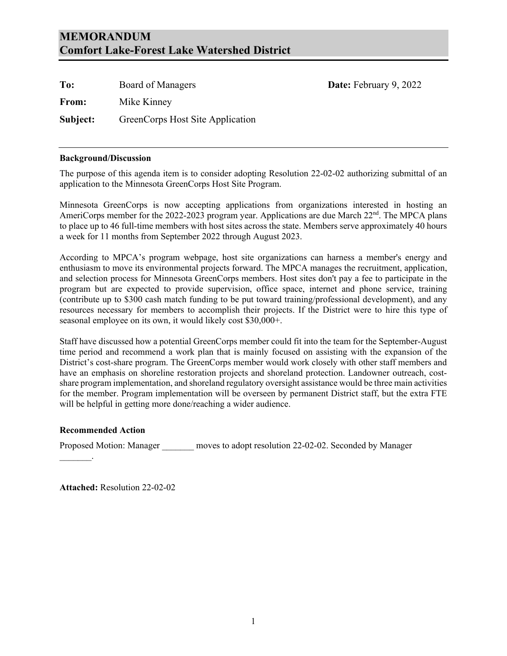# **MEMORANDUM Comfort Lake-Forest Lake Watershed District**

| To:      | Board of Managers                |
|----------|----------------------------------|
| From:    | Mike Kinney                      |
| Subject: | GreenCorps Host Site Application |

### **Background/Discussion**

The purpose of this agenda item is to consider adopting Resolution 22-02-02 authorizing submittal of an application to the Minnesota GreenCorps Host Site Program.

**Date:** February 9, 2022

Minnesota GreenCorps is now accepting applications from organizations interested in hosting an AmeriCorps member for the 2022-2023 program year. Applications are due March 22<sup>nd</sup>. The MPCA plans to place up to 46 full-time members with host sites across the state. Members serve approximately 40 hours a week for 11 months from September 2022 through August 2023.

According to MPCA's program webpage, host site organizations can harness a member's energy and enthusiasm to move its environmental projects forward. The MPCA manages the recruitment, application, and selection process for Minnesota GreenCorps members. Host sites don't pay a fee to participate in the program but are expected to provide supervision, office space, internet and phone service, training (contribute up to \$300 cash match funding to be put toward training/professional development), and any resources necessary for members to accomplish their projects. If the District were to hire this type of seasonal employee on its own, it would likely cost \$30,000+.

Staff have discussed how a potential GreenCorps member could fit into the team for the September-August time period and recommend a work plan that is mainly focused on assisting with the expansion of the District's cost-share program. The GreenCorps member would work closely with other staff members and have an emphasis on shoreline restoration projects and shoreland protection. Landowner outreach, costshare program implementation, and shoreland regulatory oversight assistance would be three main activities for the member. Program implementation will be overseen by permanent District staff, but the extra FTE will be helpful in getting more done/reaching a wider audience.

## **Recommended Action**

 $\mathcal{L}=\mathcal{L}$ 

Proposed Motion: Manager moves to adopt resolution 22-02-02. Seconded by Manager

**Attached:** Resolution 22-02-02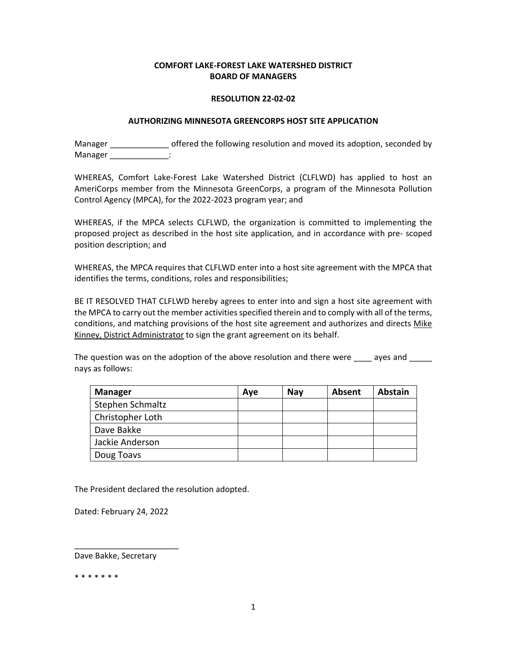## **COMFORT LAKE-FOREST LAKE WATERSHED DISTRICT BOARD OF MANAGERS**

#### **RESOLUTION 22-02-02**

#### **AUTHORIZING MINNESOTA GREENCORPS HOST SITE APPLICATION**

Manager \_\_\_\_\_\_\_\_\_\_\_\_\_\_\_\_ offered the following resolution and moved its adoption, seconded by Manager \_\_\_\_\_\_\_\_\_\_\_\_\_\_:

WHEREAS, Comfort Lake-Forest Lake Watershed District (CLFLWD) has applied to host an AmeriCorps member from the Minnesota GreenCorps, a program of the Minnesota Pollution Control Agency (MPCA), for the 2022-2023 program year; and

WHEREAS, if the MPCA selects CLFLWD, the organization is committed to implementing the proposed project as described in the host site application, and in accordance with pre- scoped position description; and

WHEREAS, the MPCA requires that CLFLWD enter into a host site agreement with the MPCA that identifies the terms, conditions, roles and responsibilities;

BE IT RESOLVED THAT CLFLWD hereby agrees to enter into and sign a host site agreement with the MPCA to carry out the member activities specified therein and to comply with all of the terms, conditions, and matching provisions of the host site agreement and authorizes and directs Mike Kinney, District Administrator to sign the grant agreement on its behalf.

The question was on the adoption of the above resolution and there were same ayes and nays as follows:

| <b>Manager</b>   | Aye | Nav | <b>Absent</b> | Abstain |
|------------------|-----|-----|---------------|---------|
| Stephen Schmaltz |     |     |               |         |
| Christopher Loth |     |     |               |         |
| Dave Bakke       |     |     |               |         |
| Jackie Anderson  |     |     |               |         |
| Doug Toavs       |     |     |               |         |

The President declared the resolution adopted.

Dated: February 24, 2022

\_\_\_\_\_\_\_\_\_\_\_\_\_\_\_\_\_\_\_\_\_\_\_

Dave Bakke, Secretary

\* \* \* \* \* \* \*